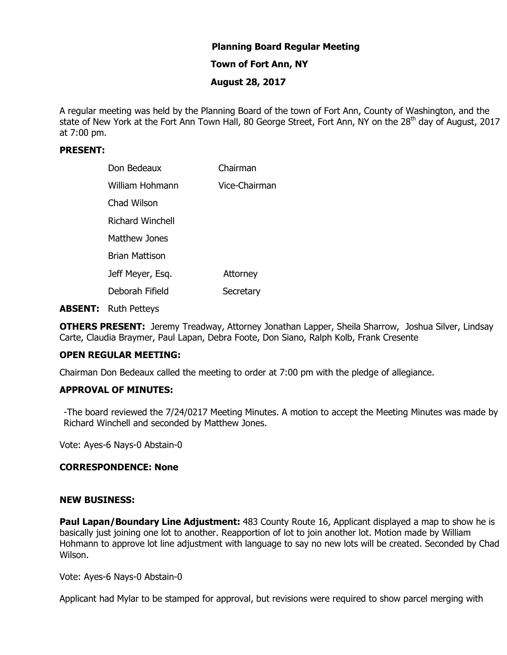# **Planning Board Regular Meeting**

## **Town of Fort Ann, NY**

## **August 28, 2017**

A regular meeting was held by the Planning Board of the town of Fort Ann, County of Washington, and the state of New York at the Fort Ann Town Hall, 80 George Street, Fort Ann, NY on the 28<sup>th</sup> day of August, 2017 at 7:00 pm.

# **PRESENT:**

| Don Bedeaux           | Chairman      |
|-----------------------|---------------|
| William Hohmann       | Vice-Chairman |
| Chad Wilson           |               |
| Richard Winchell      |               |
| Matthew Jones         |               |
| <b>Brian Mattison</b> |               |
| Jeff Meyer, Esq.      | Attorney      |
| Deborah Fifield       | Secretary     |

**ABSENT:** Ruth Petteys

**OTHERS PRESENT:** Jeremy Treadway, Attorney Jonathan Lapper, Sheila Sharrow, Joshua Silver, Lindsay Carte, Claudia Braymer, Paul Lapan, Debra Foote, Don Siano, Ralph Kolb, Frank Cresente

### **OPEN REGULAR MEETING:**

Chairman Don Bedeaux called the meeting to order at 7:00 pm with the pledge of allegiance.

### **APPROVAL OF MINUTES:**

-The board reviewed the 7/24/0217 Meeting Minutes. A motion to accept the Meeting Minutes was made by Richard Winchell and seconded by Matthew Jones.

Vote: Ayes-6 Nays-0 Abstain-0

#### **CORRESPONDENCE: None**

#### **NEW BUSINESS:**

**Paul Lapan/Boundary Line Adjustment:** 483 County Route 16, Applicant displayed a map to show he is basically just joining one lot to another. Reapportion of lot to join another lot. Motion made by William Hohmann to approve lot line adjustment with language to say no new lots will be created. Seconded by Chad Wilson.

Vote: Ayes-6 Nays-0 Abstain-0

Applicant had Mylar to be stamped for approval, but revisions were required to show parcel merging with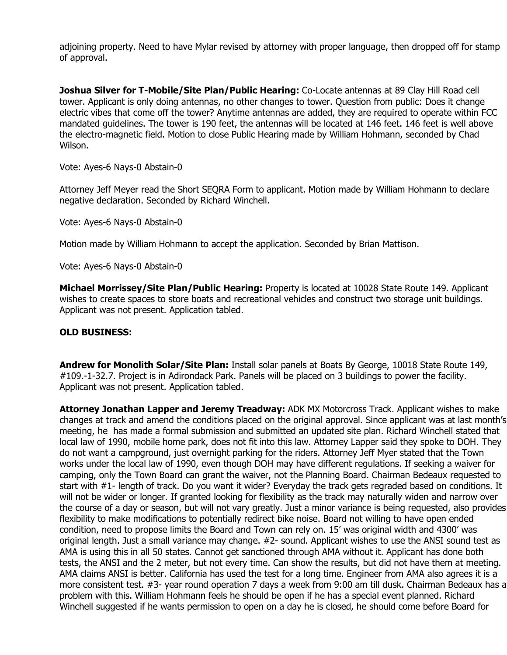adjoining property. Need to have Mylar revised by attorney with proper language, then dropped off for stamp of approval.

**Joshua Silver for T-Mobile/Site Plan/Public Hearing:** Co-Locate antennas at 89 Clay Hill Road cell tower. Applicant is only doing antennas, no other changes to tower. Question from public: Does it change electric vibes that come off the tower? Anytime antennas are added, they are required to operate within FCC mandated guidelines. The tower is 190 feet, the antennas will be located at 146 feet. 146 feet is well above the electro-magnetic field. Motion to close Public Hearing made by William Hohmann, seconded by Chad Wilson.

Vote: Ayes-6 Nays-0 Abstain-0

Attorney Jeff Meyer read the Short SEQRA Form to applicant. Motion made by William Hohmann to declare negative declaration. Seconded by Richard Winchell.

Vote: Ayes-6 Nays-0 Abstain-0

Motion made by William Hohmann to accept the application. Seconded by Brian Mattison.

Vote: Ayes-6 Nays-0 Abstain-0

**Michael Morrissey/Site Plan/Public Hearing:** Property is located at 10028 State Route 149. Applicant wishes to create spaces to store boats and recreational vehicles and construct two storage unit buildings. Applicant was not present. Application tabled.

## **OLD BUSINESS:**

**Andrew for Monolith Solar/Site Plan:** Install solar panels at Boats By George, 10018 State Route 149, #109.-1-32.7. Project is in Adirondack Park. Panels will be placed on 3 buildings to power the facility. Applicant was not present. Application tabled.

**Attorney Jonathan Lapper and Jeremy Treadway:** ADK MX Motorcross Track. Applicant wishes to make changes at track and amend the conditions placed on the original approval. Since applicant was at last month's meeting, he has made a formal submission and submitted an updated site plan. Richard Winchell stated that local law of 1990, mobile home park, does not fit into this law. Attorney Lapper said they spoke to DOH. They do not want a campground, just overnight parking for the riders. Attorney Jeff Myer stated that the Town works under the local law of 1990, even though DOH may have different regulations. If seeking a waiver for camping, only the Town Board can grant the waiver, not the Planning Board. Chairman Bedeaux requested to start with #1- length of track. Do you want it wider? Everyday the track gets regraded based on conditions. It will not be wider or longer. If granted looking for flexibility as the track may naturally widen and narrow over the course of a day or season, but will not vary greatly. Just a minor variance is being requested, also provides flexibility to make modifications to potentially redirect bike noise. Board not willing to have open ended condition, need to propose limits the Board and Town can rely on. 15' was original width and 4300' was original length. Just a small variance may change. #2- sound. Applicant wishes to use the ANSI sound test as AMA is using this in all 50 states. Cannot get sanctioned through AMA without it. Applicant has done both tests, the ANSI and the 2 meter, but not every time. Can show the results, but did not have them at meeting. AMA claims ANSI is better. California has used the test for a long time. Engineer from AMA also agrees it is a more consistent test. #3- year round operation 7 days a week from 9:00 am till dusk. Chairman Bedeaux has a problem with this. William Hohmann feels he should be open if he has a special event planned. Richard Winchell suggested if he wants permission to open on a day he is closed, he should come before Board for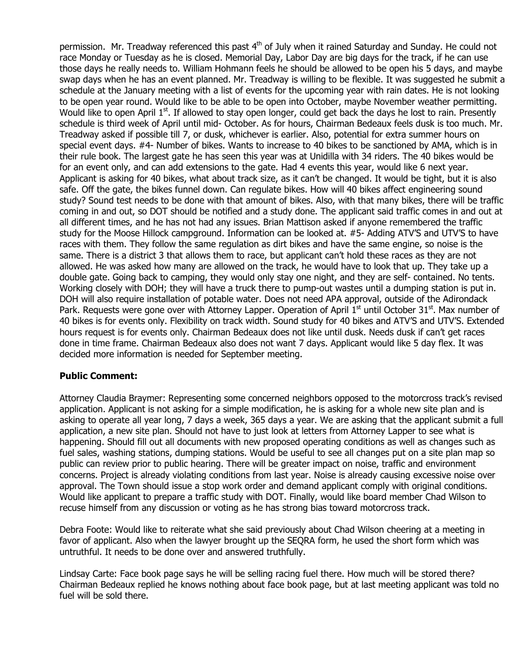permission. Mr. Treadway referenced this past 4<sup>th</sup> of July when it rained Saturday and Sunday. He could not race Monday or Tuesday as he is closed. Memorial Day, Labor Day are big days for the track, if he can use those days he really needs to. William Hohmann feels he should be allowed to be open his 5 days, and maybe swap days when he has an event planned. Mr. Treadway is willing to be flexible. It was suggested he submit a schedule at the January meeting with a list of events for the upcoming year with rain dates. He is not looking to be open year round. Would like to be able to be open into October, maybe November weather permitting. Would like to open April 1<sup>st</sup>. If allowed to stay open longer, could get back the days he lost to rain. Presently schedule is third week of April until mid- October. As for hours, Chairman Bedeaux feels dusk is too much. Mr. Treadway asked if possible till 7, or dusk, whichever is earlier. Also, potential for extra summer hours on special event days. #4- Number of bikes. Wants to increase to 40 bikes to be sanctioned by AMA, which is in their rule book. The largest gate he has seen this year was at Unidilla with 34 riders. The 40 bikes would be for an event only, and can add extensions to the gate. Had 4 events this year, would like 6 next year. Applicant is asking for 40 bikes, what about track size, as it can't be changed. It would be tight, but it is also safe. Off the gate, the bikes funnel down. Can regulate bikes. How will 40 bikes affect engineering sound study? Sound test needs to be done with that amount of bikes. Also, with that many bikes, there will be traffic coming in and out, so DOT should be notified and a study done. The applicant said traffic comes in and out at all different times, and he has not had any issues. Brian Mattison asked if anyone remembered the traffic study for the Moose Hillock campground. Information can be looked at. #5- Adding ATV'S and UTV'S to have races with them. They follow the same regulation as dirt bikes and have the same engine, so noise is the same. There is a district 3 that allows them to race, but applicant can't hold these races as they are not allowed. He was asked how many are allowed on the track, he would have to look that up. They take up a double gate. Going back to camping, they would only stay one night, and they are self- contained. No tents. Working closely with DOH; they will have a truck there to pump-out wastes until a dumping station is put in. DOH will also require installation of potable water. Does not need APA approval, outside of the Adirondack Park. Requests were gone over with Attorney Lapper. Operation of April  $1<sup>st</sup>$  until October 31 $<sup>st</sup>$ . Max number of</sup> 40 bikes is for events only. Flexibility on track width. Sound study for 40 bikes and ATV'S and UTV'S. Extended hours request is for events only. Chairman Bedeaux does not like until dusk. Needs dusk if can't get races done in time frame. Chairman Bedeaux also does not want 7 days. Applicant would like 5 day flex. It was decided more information is needed for September meeting.

## **Public Comment:**

Attorney Claudia Braymer: Representing some concerned neighbors opposed to the motorcross track's revised application. Applicant is not asking for a simple modification, he is asking for a whole new site plan and is asking to operate all year long, 7 days a week, 365 days a year. We are asking that the applicant submit a full application, a new site plan. Should not have to just look at letters from Attorney Lapper to see what is happening. Should fill out all documents with new proposed operating conditions as well as changes such as fuel sales, washing stations, dumping stations. Would be useful to see all changes put on a site plan map so public can review prior to public hearing. There will be greater impact on noise, traffic and environment concerns. Project is already violating conditions from last year. Noise is already causing excessive noise over approval. The Town should issue a stop work order and demand applicant comply with original conditions. Would like applicant to prepare a traffic study with DOT. Finally, would like board member Chad Wilson to recuse himself from any discussion or voting as he has strong bias toward motorcross track.

Debra Foote: Would like to reiterate what she said previously about Chad Wilson cheering at a meeting in favor of applicant. Also when the lawyer brought up the SEQRA form, he used the short form which was untruthful. It needs to be done over and answered truthfully.

Lindsay Carte: Face book page says he will be selling racing fuel there. How much will be stored there? Chairman Bedeaux replied he knows nothing about face book page, but at last meeting applicant was told no fuel will be sold there.